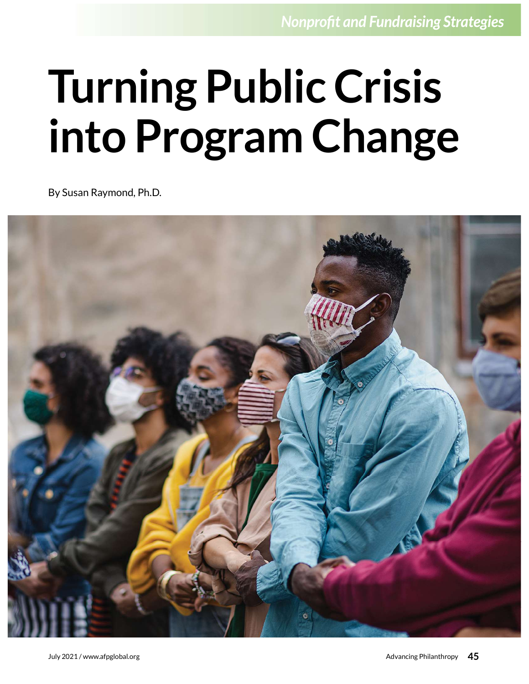# Turning Public Crisis into Program Change

By Susan Raymond, Ph.D.

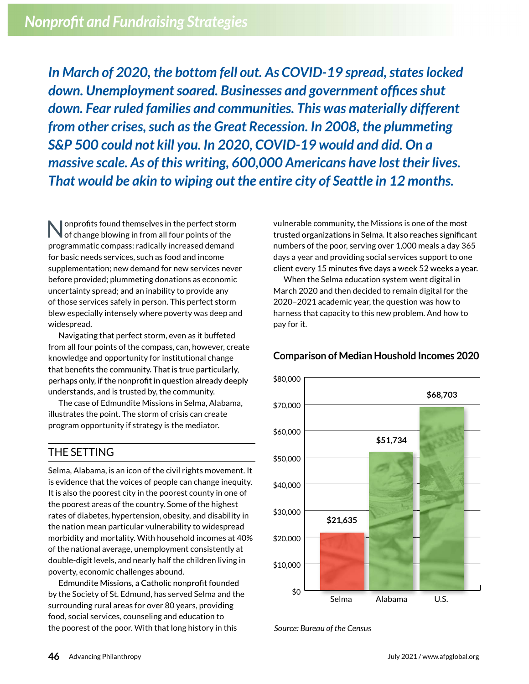In March of 2020, the bottom fell out. As COVID-19 spread, states locked down. Unemployment soared. Businesses and government offices shut down. Fear ruled families and communities. This was materially different from other crises, such as the Great Recession. In 2008, the plummeting S&P 500 could not kill you. In 2020, COVID-19 would and did. On a massive scale. As of this writing, 600,000 Americans have lost their lives. That would be akin to wiping out the entire city of Seattle in 12 months.

onprofits found themselves in the perfect storm<br>of change blowing in from all four points of the programmatic compass: radically increased demand for basic needs services, such as food and income supplementation; new demand for new services never before provided; plummeting donations as economic uncertainty spread; and an inability to provide any of those services safely in person. This perfect storm blew especially intensely where poverty was deep and widespread.

Navigating that perfect storm, even as it buffeted from all four points of the compass, can, however, create knowledge and opportunity for institutional change that benefits the community. That is true particularly, perhaps only, if the nonprofit in question already deeply understands, and is trusted by, the community.

The case of Edmundite Missions in Selma, Alabama, illustrates the point. The storm of crisis can create program opportunity if strategy is the mediator.

## THE SETTING

Selma, Alabama, is an icon of the civil rights movement. It is evidence that the voices of people can change inequity. It is also the poorest city in the poorest county in one of the poorest areas of the country. Some of the highest rates of diabetes, hypertension, obesity, and disability in the nation mean particular vulnerability to widespread morbidity and mortality. With household incomes at 40% of the national average, unemployment consistently at double-digit levels, and nearly half the children living in poverty, economic challenges abound.

Edmundite Missions, a Catholic nonprofit founded by the Society of St. Edmund, has served Selma and the surrounding rural areas for over 80 years, providing food, social services, counseling and education to the poorest of the poor. With that long history in this

vulnerable community, the Missions is one of the most trusted organizations in Selma. It also reaches significant numbers of the poor, serving over 1,000 meals a day 365 days a year and providing social services support to one client every 15 minutes five days a week 52 weeks a year.

When the Selma education system went digital in March 2020 and then decided to remain digital for the 2020–2021 academic year, the question was how to harness that capacity to this new problem. And how to pay for it.



#### Comparison of Median Houshold Incomes 2020

Source: Bureau of the Census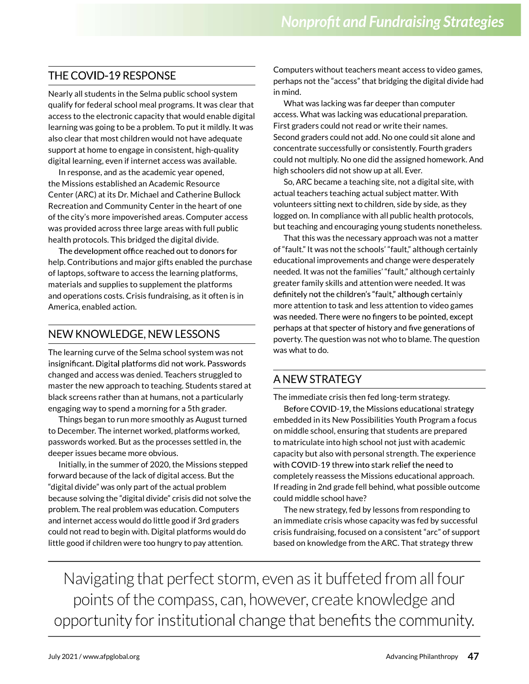#### **THE COVID-19 RESPONSE**

Nearly all students in the Selma public school system qualify for federal school meal programs. It was clear that access to the electronic capacity that would enable digital learning was going to be a problem. To put it mildly. It was also clear that most children would not have adequate support at home to engage in consistent, high-quality digital learning, even if internet access was available.

In response, and as the academic year opened, the Missions established an Academic Resource Center (ARC) at its Dr. Michael and Catherine Bullock Recreation and Community Center in the heart of one of the city's more impoverished areas. Computer access was provided across three large areas with full public health protocols. This bridged the digital divide.

The development office reached out to donors for help. Contributions and major gifts enabled the purchase of laptops, software to access the learning platforms, materials and supplies to supplement the platforms and operations costs. Crisis fundraising, as it often is in America, enabled action.

The learning curve of the Selma school system was not insignificant. Digital platforms did not work. Passwords changed and access was denied. Teachers struggled to master the new approach to teaching. Students stared at black screens rather than at humans, not a particularly engaging way to spend a morning for a 5th grader.

Things began to run more smoothly as August turned to December. The internet worked, platforms worked, passwords worked. But as the processes settled in, the deeper issues became more obvious.

Initially, in the summer of 2020, the Missions stepped forward because of the lack of digital access. But the "digital divide" was only part of the actual problem because solving the "digital divide" crisis did not solve the problem. The real problem was education. Computers and internet access would do little good if 3rd graders could not read to begin with. Digital platforms would do little good if children were too hungry to pay attention.

Computers without teachers meant access to video games, perhaps not the "access" that bridging the digital divide had in mind.

What was lacking was far deeper than computer access. What was lacking was educational preparation. First graders could not read or write their names. Second graders could not add. No one could sit alone and concentrate successfully or consistently. Fourth graders could not multiply. No one did the assigned homework. And high schoolers did not show up at all. Ever.

So, ARC became a teaching site, not a digital site, with actual teachers teaching actual subject matter. With volunteers sitting next to children, side by side, as they logged on. In compliance with all public health protocols, but teaching and encouraging young students nonetheless.

That this was the necessary approach was not a matter of "fault." It was not the schools' "fault," although certainly educational improvements and change were desperately needed. It was not the families' "fault," although certainly greater family skills and attention were needed. It was definitely not the children's "fault," although certainly more attention to task and less attention to video games was needed. There were no fingers to be pointed, except The methods at that specter of history and five generations of<br>NEW KNOWLEDGE, NEW LESSONS poverty. The question was not who to blame. The question was what to do.

## A NEW STRATEGY

The immediate crisis then fed long-term strategy.

Before COVID-19, the Missions educational strategy embedded in its New Possibilities Youth Program a focus on middle school, ensuring that students are prepared to matriculate into high school not just with academic capacity but also with personal strength. The experience with COVID-19 threw into stark relief the need to completely reassess the Missions educational approach. If reading in 2nd grade fell behind, what possible outcome could middle school have?

The new strategy, fed by lessons from responding to an immediate crisis whose capacity was fed by successful crisis fundraising, focused on a consistent "arc" of support based on knowledge from the ARC. That strategy threw

Navigating that perfect storm, even as it buffeted from all four points of the compass, can, however, create knowledge and opportunity for institutional change that benefits the community.